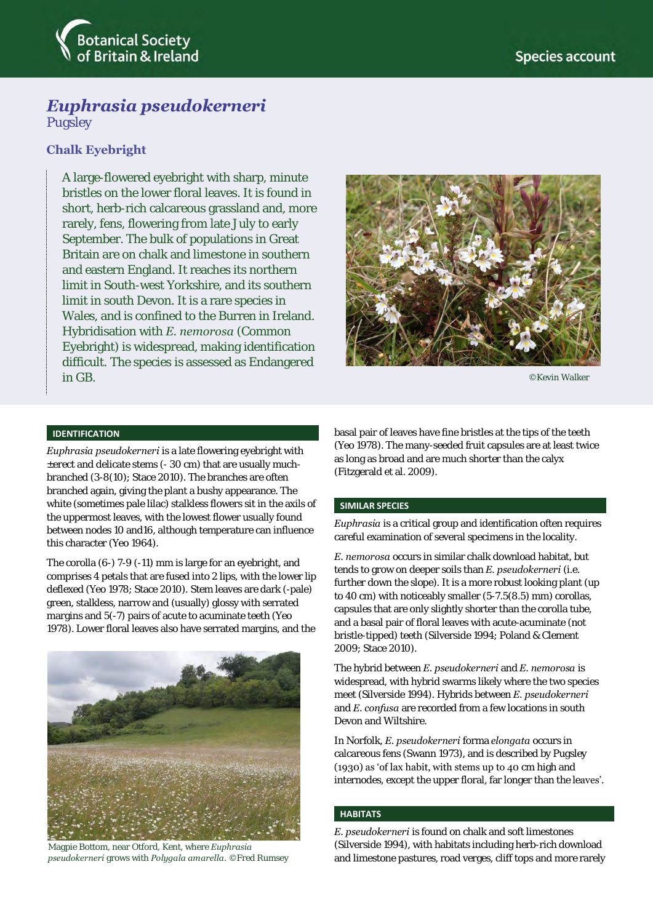

# *Euphrasia pseudokerneri*

Pugsley

# **Chalk Eyebright**

A large-flowered eyebright with sharp, minute bristles on the lower floral leaves. It is found in short, herb-rich calcareous grassland and, more rarely, fens, flowering from late July to early September. The bulk of populations in Great Britain are on chalk and limestone in southern and eastern England. It reaches its northern limit in South-west Yorkshire, and its southern limit in south Devon. It is a rare species in Wales, and is confined to the Burren in Ireland. Hybridisation with *E. nemorosa* (Common Eyebright) is widespread, making identification difficult. The species is assessed as Endangered in GB.



©Kevin Walker

# **IDENTIFICATION**

*Euphrasia pseudokerneri* is a late flowering eyebright with ±erect and delicate stems (- 30 cm) that are usually muchbranched (3-8(10); Stace 2010). The branches are often branched again, giving the plant a bushy appearance. The white (sometimes pale lilac) stalkless flowers sit in the axils of the uppermost leaves, with the lowest flower usually found between nodes 10 and16, although temperature can influence this character (Yeo 1964).

The corolla (6-) 7-9 (-11) mm is large for an eyebright, and comprises 4 petals that are fused into 2 lips, with the lower lip deflexed (Yeo 1978; Stace 2010). Stem leaves are dark (-pale) green, stalkless, narrow and (usually) glossy with serrated margins and 5(-7) pairs of acute to acuminate teeth (Yeo 1978). Lower floral leaves also have serrated margins, and the



Magpie Bottom, near Otford, Kent, where *Euphrasia pseudokerneri* grows with *Polygala amarella*. ©Fred Rumsey

basal pair of leaves have fine bristles at the tips of the teeth (Yeo 1978). The many-seeded fruit capsules are at least twice as long as broad and are much shorter than the calyx (Fitzgerald et al. 2009).

# **SIMILAR SPECIES**

*Euphrasia* is a critical group and identification often requires careful examination of several specimens in the locality.

*E. nemorosa* occurs in similar chalk download habitat, but tends to grow on deeper soils than *E. pseudokerneri* (i.e. further down the slope). It is a more robust looking plant (up to 40 cm) with noticeably smaller (5-7.5(8.5) mm) corollas, capsules that are only slightly shorter than the corolla tube, and a basal pair of floral leaves with acute-acuminate (not bristle-tipped) teeth (Silverside 1994; Poland & Clement 2009; Stace 2010).

The hybrid between *E. pseudokerneri* and *E. nemorosa* is widespread, with hybrid swarms likely where the two species meet (Silverside 1994). Hybrids between *E. pseudokerneri*  and *E. confusa* are recorded from a few locations in south Devon and Wiltshire.

In Norfolk, *E. pseudokerneri* forma *elongata* occurs in calcareous fens (Swann 1973), and is described by Pugsley (1930) as 'of lax habit, with stems up to 40 cm high and internodes, except the upper floral, far longer than the leaves'.

# **HABITATS**

*E. pseudokerneri* is found on chalk and soft limestones (Silverside 1994), with habitats including herb-rich download and limestone pastures, road verges, cliff tops and more rarely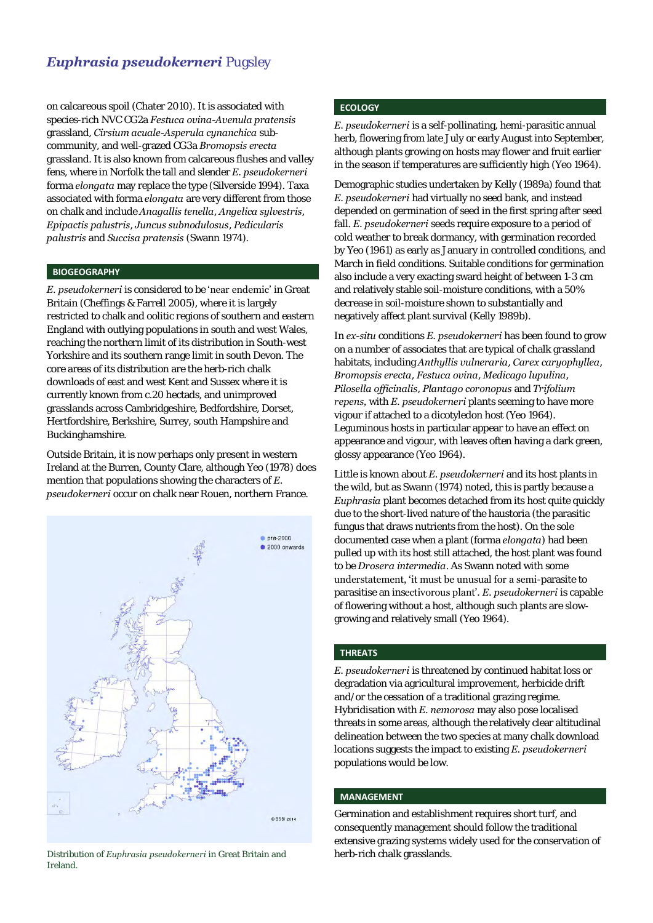# *Euphrasia pseudokerneri* Pugsley

on calcareous spoil (Chater 2010). It is associated with species-rich NVC CG2a *Festuca ovina-Avenula pratensis* grassland, *Cirsium acuale-Asperula cynanchica* subcommunity, and well-grazed CG3a *Bromopsis erecta* grassland. It is also known from calcareous flushes and valley fens, where in Norfolk the tall and slender *E. pseudokerneri* forma *elongata* may replace the type (Silverside 1994). Taxa associated with forma *elongata* are very different from those on chalk and include *Anagallis tenella*, *Angelica sylvestris*, *Epipactis palustris*, *Juncus subnodulosus*, *Pedicularis palustris* and *Succisa pratensis* (Swann 1974).

#### **BIOGEOGRAPHY**

*E. pseudokerneri* is considered to be 'near endemic' in Great Britain (Cheffings & Farrell 2005), where it is largely restricted to chalk and oolitic regions of southern and eastern England with outlying populations in south and west Wales, reaching the northern limit of its distribution in South-west Yorkshire and its southern range limit in south Devon. The core areas of its distribution are the herb-rich chalk downloads of east and west Kent and Sussex where it is currently known from c.20 hectads, and unimproved grasslands across Cambridgeshire, Bedfordshire, Dorset, Hertfordshire, Berkshire, Surrey, south Hampshire and Buckinghamshire.

Outside Britain, it is now perhaps only present in western Ireland at the Burren, County Clare, although Yeo (1978) does mention that populations showing the characters of *E. pseudokerneri* occur on chalk near Rouen, northern France.



Distribution of *Euphrasia pseudokerneri* in Great Britain and herb-rich chalk grasslands. Ireland.

# **ECOLOGY**

*E. pseudokerneri* is a self-pollinating, hemi-parasitic annual herb, flowering from late July or early August into September, although plants growing on hosts may flower and fruit earlier in the season if temperatures are sufficiently high (Yeo 1964).

Demographic studies undertaken by Kelly (1989a) found that *E. pseudokerneri* had virtually no seed bank, and instead depended on germination of seed in the first spring after seed fall. *E. pseudokerneri* seeds require exposure to a period of cold weather to break dormancy, with germination recorded by Yeo (1961) as early as January in controlled conditions, and March in field conditions. Suitable conditions for germination also include a very exacting sward height of between 1-3 cm and relatively stable soil-moisture conditions, with a 50% decrease in soil-moisture shown to substantially and negatively affect plant survival (Kelly 1989b).

In *ex-situ* conditions *E. pseudokerneri* has been found to grow on a number of associates that are typical of chalk grassland habitats, including *Anthyllis vulneraria*, *Carex caryophyllea*, *Bromopsis erecta*, *Festuca ovina*, *Medicago lupulina*, *Pilosella officinalis*, *Plantago coronopus* and *Trifolium repens,* with *E. pseudokerneri* plants seeming to have more vigour if attached to a dicotyledon host (Yeo 1964). Leguminous hosts in particular appear to have an effect on appearance and vigour, with leaves often having a dark green, glossy appearance (Yeo 1964).

Little is known about *E. pseudokerneri* and its host plants in the wild, but as Swann (1974) noted, this is partly because a *Euphrasia* plant becomes detached from its host quite quickly due to the short-lived nature of the haustoria (the parasitic fungus that draws nutrients from the host). On the sole documented case when a plant (forma *elongata*) had been pulled up with its host still attached, the host plant was found to be *Drosera intermedia*. As Swann noted with some understatement, 'it must be unusual for a semi-parasite to parasitise an insectivorous plant'. *E. pseudokerneri* is capable of flowering without a host, although such plants are slowgrowing and relatively small (Yeo 1964).

# **THREATS**

*E. pseudokerneri* is threatened by continued habitat loss or degradation via agricultural improvement, herbicide drift and/or the cessation of a traditional grazing regime. Hybridisation with *E. nemorosa* may also pose localised threats in some areas, although the relatively clear altitudinal delineation between the two species at many chalk download locations suggests the impact to existing *E. pseudokerneri* populations would be low.

#### **MANAGEMENT**

Germination and establishment requires short turf, and consequently management should follow the traditional extensive grazing systems widely used for the conservation of